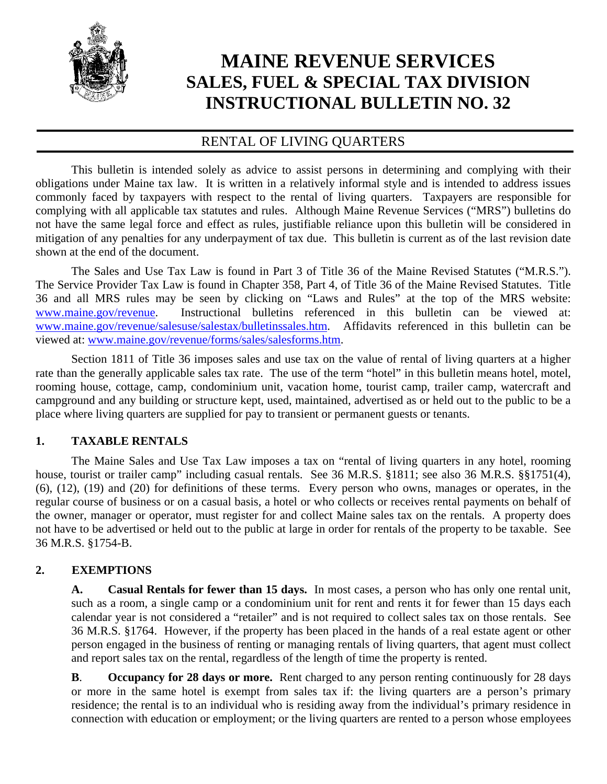

# **MAINE REVENUE SERVICES SALES, FUEL & SPECIAL TAX DIVISION INSTRUCTIONAL BULLETIN NO. 32**

# RENTAL OF LIVING QUARTERS

 This bulletin is intended solely as advice to assist persons in determining and complying with their obligations under Maine tax law. It is written in a relatively informal style and is intended to address issues commonly faced by taxpayers with respect to the rental of living quarters. Taxpayers are responsible for complying with all applicable tax statutes and rules. Although Maine Revenue Services ("MRS") bulletins do not have the same legal force and effect as rules, justifiable reliance upon this bulletin will be considered in mitigation of any penalties for any underpayment of tax due. This bulletin is current as of the last revision date shown at the end of the document.

 The Sales and Use Tax Law is found in Part 3 of Title 36 of the Maine Revised Statutes ("M.R.S."). The Service Provider Tax Law is found in Chapter 358, Part 4, of Title 36 of the Maine Revised Statutes. Title 36 and all MRS rules may be seen by clicking on "Laws and Rules" at the top of the MRS website: www.maine.gov/revenue. Instructional bulletins referenced in this bulletin can be viewed at: www.maine.gov/revenue/salesuse/salestax/bulletinssales.htm. Affidavits referenced in this bulletin can be viewed at: www.maine.gov/revenue/forms/sales/salesforms.htm.

 Section 1811 of Title 36 imposes sales and use tax on the value of rental of living quarters at a higher rate than the generally applicable sales tax rate. The use of the term "hotel" in this bulletin means hotel, motel, rooming house, cottage, camp, condominium unit, vacation home, tourist camp, trailer camp, watercraft and campground and any building or structure kept, used, maintained, advertised as or held out to the public to be a place where living quarters are supplied for pay to transient or permanent guests or tenants.

## **1. TAXABLE RENTALS**

 The Maine Sales and Use Tax Law imposes a tax on "rental of living quarters in any hotel, rooming house, tourist or trailer camp" including casual rentals. See 36 M.R.S. §1811; see also 36 M.R.S. §§1751(4), (6), (12), (19) and (20) for definitions of these terms. Every person who owns, manages or operates, in the regular course of business or on a casual basis, a hotel or who collects or receives rental payments on behalf of the owner, manager or operator, must register for and collect Maine sales tax on the rentals. A property does not have to be advertised or held out to the public at large in order for rentals of the property to be taxable. See 36 M.R.S. §1754-B.

## **2. EXEMPTIONS**

**A. Casual Rentals for fewer than 15 days.** In most cases, a person who has only one rental unit, such as a room, a single camp or a condominium unit for rent and rents it for fewer than 15 days each calendar year is not considered a "retailer" and is not required to collect sales tax on those rentals. See 36 M.R.S. §1764. However, if the property has been placed in the hands of a real estate agent or other person engaged in the business of renting or managing rentals of living quarters, that agent must collect and report sales tax on the rental, regardless of the length of time the property is rented.

**B**. **Occupancy for 28 days or more.** Rent charged to any person renting continuously for 28 days or more in the same hotel is exempt from sales tax if: the living quarters are a person's primary residence; the rental is to an individual who is residing away from the individual's primary residence in connection with education or employment; or the living quarters are rented to a person whose employees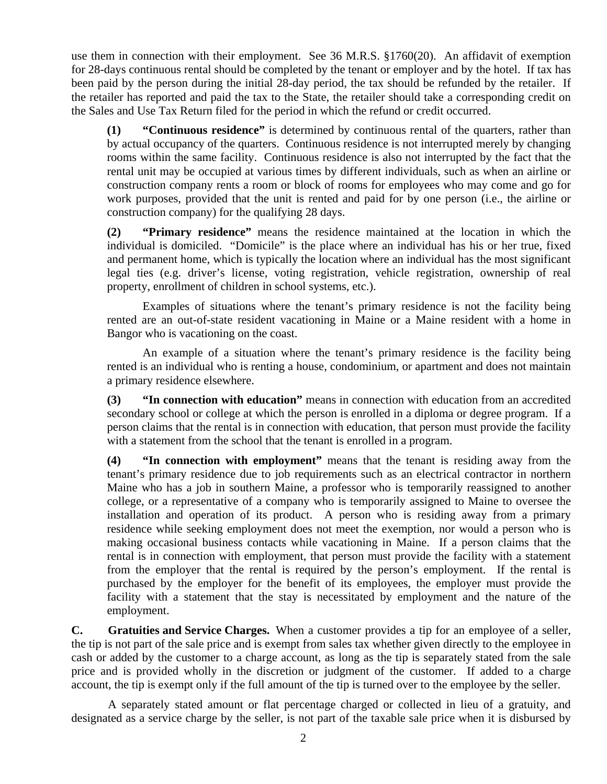use them in connection with their employment. See 36 M.R.S. §1760(20). An affidavit of exemption for 28-days continuous rental should be completed by the tenant or employer and by the hotel. If tax has been paid by the person during the initial 28-day period, the tax should be refunded by the retailer. If the retailer has reported and paid the tax to the State, the retailer should take a corresponding credit on the Sales and Use Tax Return filed for the period in which the refund or credit occurred.

**(1) "Continuous residence"** is determined by continuous rental of the quarters, rather than by actual occupancy of the quarters. Continuous residence is not interrupted merely by changing rooms within the same facility. Continuous residence is also not interrupted by the fact that the rental unit may be occupied at various times by different individuals, such as when an airline or construction company rents a room or block of rooms for employees who may come and go for work purposes, provided that the unit is rented and paid for by one person (i.e., the airline or construction company) for the qualifying 28 days.

**(2) "Primary residence"** means the residence maintained at the location in which the individual is domiciled. "Domicile" is the place where an individual has his or her true, fixed and permanent home, which is typically the location where an individual has the most significant legal ties (e.g. driver's license, voting registration, vehicle registration, ownership of real property, enrollment of children in school systems, etc.).

 Examples of situations where the tenant's primary residence is not the facility being rented are an out-of-state resident vacationing in Maine or a Maine resident with a home in Bangor who is vacationing on the coast.

 An example of a situation where the tenant's primary residence is the facility being rented is an individual who is renting a house, condominium, or apartment and does not maintain a primary residence elsewhere.

**(3) "In connection with education"** means in connection with education from an accredited secondary school or college at which the person is enrolled in a diploma or degree program. If a person claims that the rental is in connection with education, that person must provide the facility with a statement from the school that the tenant is enrolled in a program.

**(4) "In connection with employment"** means that the tenant is residing away from the tenant's primary residence due to job requirements such as an electrical contractor in northern Maine who has a job in southern Maine, a professor who is temporarily reassigned to another college, or a representative of a company who is temporarily assigned to Maine to oversee the installation and operation of its product. A person who is residing away from a primary residence while seeking employment does not meet the exemption, nor would a person who is making occasional business contacts while vacationing in Maine. If a person claims that the rental is in connection with employment, that person must provide the facility with a statement from the employer that the rental is required by the person's employment. If the rental is purchased by the employer for the benefit of its employees, the employer must provide the facility with a statement that the stay is necessitated by employment and the nature of the employment.

**C. Gratuities and Service Charges.** When a customer provides a tip for an employee of a seller, the tip is not part of the sale price and is exempt from sales tax whether given directly to the employee in cash or added by the customer to a charge account, as long as the tip is separately stated from the sale price and is provided wholly in the discretion or judgment of the customer. If added to a charge account, the tip is exempt only if the full amount of the tip is turned over to the employee by the seller.

 A separately stated amount or flat percentage charged or collected in lieu of a gratuity, and designated as a service charge by the seller, is not part of the taxable sale price when it is disbursed by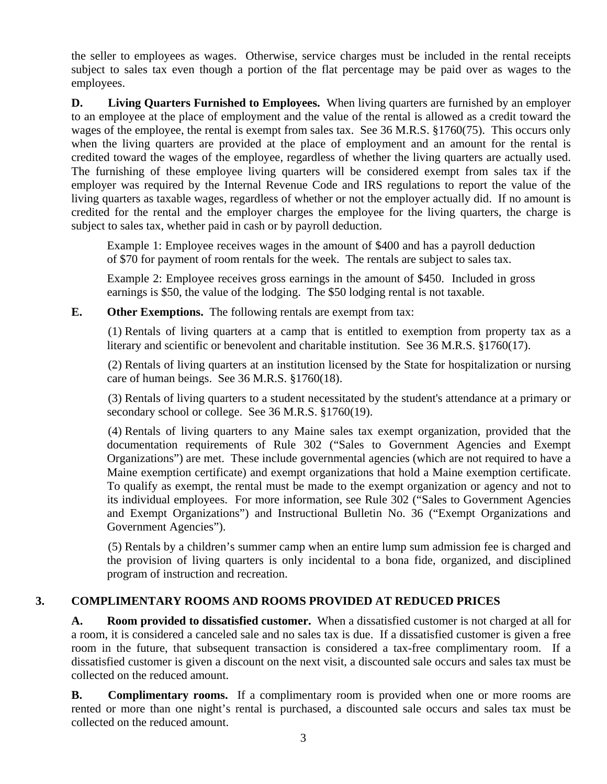the seller to employees as wages. Otherwise, service charges must be included in the rental receipts subject to sales tax even though a portion of the flat percentage may be paid over as wages to the employees.

**D.** Living Quarters Furnished to Employees. When living quarters are furnished by an employer to an employee at the place of employment and the value of the rental is allowed as a credit toward the wages of the employee, the rental is exempt from sales tax. See 36 M.R.S. §1760(75). This occurs only when the living quarters are provided at the place of employment and an amount for the rental is credited toward the wages of the employee, regardless of whether the living quarters are actually used. The furnishing of these employee living quarters will be considered exempt from sales tax if the employer was required by the Internal Revenue Code and IRS regulations to report the value of the living quarters as taxable wages, regardless of whether or not the employer actually did. If no amount is credited for the rental and the employer charges the employee for the living quarters, the charge is subject to sales tax, whether paid in cash or by payroll deduction.

Example 1: Employee receives wages in the amount of \$400 and has a payroll deduction of \$70 for payment of room rentals for the week. The rentals are subject to sales tax.

Example 2: Employee receives gross earnings in the amount of \$450. Included in gross earnings is \$50, the value of the lodging. The \$50 lodging rental is not taxable.

**E. Other Exemptions.** The following rentals are exempt from tax:

 (1) Rentals of living quarters at a camp that is entitled to exemption from property tax as a literary and scientific or benevolent and charitable institution. See 36 M.R.S. §1760(17).

 (2) Rentals of living quarters at an institution licensed by the State for hospitalization or nursing care of human beings. See 36 M.R.S. §1760(18).

 (3) Rentals of living quarters to a student necessitated by the student's attendance at a primary or secondary school or college. See 36 M.R.S. §1760(19).

 (4) Rentals of living quarters to any Maine sales tax exempt organization, provided that the documentation requirements of Rule 302 ("Sales to Government Agencies and Exempt Organizations") are met. These include governmental agencies (which are not required to have a Maine exemption certificate) and exempt organizations that hold a Maine exemption certificate. To qualify as exempt, the rental must be made to the exempt organization or agency and not to its individual employees. For more information, see Rule 302 ("Sales to Government Agencies and Exempt Organizations") and Instructional Bulletin No. 36 ("Exempt Organizations and Government Agencies").

 (5) Rentals by a children's summer camp when an entire lump sum admission fee is charged and the provision of living quarters is only incidental to a bona fide, organized, and disciplined program of instruction and recreation.

#### **3. COMPLIMENTARY ROOMS AND ROOMS PROVIDED AT REDUCED PRICES**

**A. Room provided to dissatisfied customer.** When a dissatisfied customer is not charged at all for a room, it is considered a canceled sale and no sales tax is due. If a dissatisfied customer is given a free room in the future, that subsequent transaction is considered a tax-free complimentary room. If a dissatisfied customer is given a discount on the next visit, a discounted sale occurs and sales tax must be collected on the reduced amount.

**B.** Complimentary rooms. If a complimentary room is provided when one or more rooms are rented or more than one night's rental is purchased, a discounted sale occurs and sales tax must be collected on the reduced amount.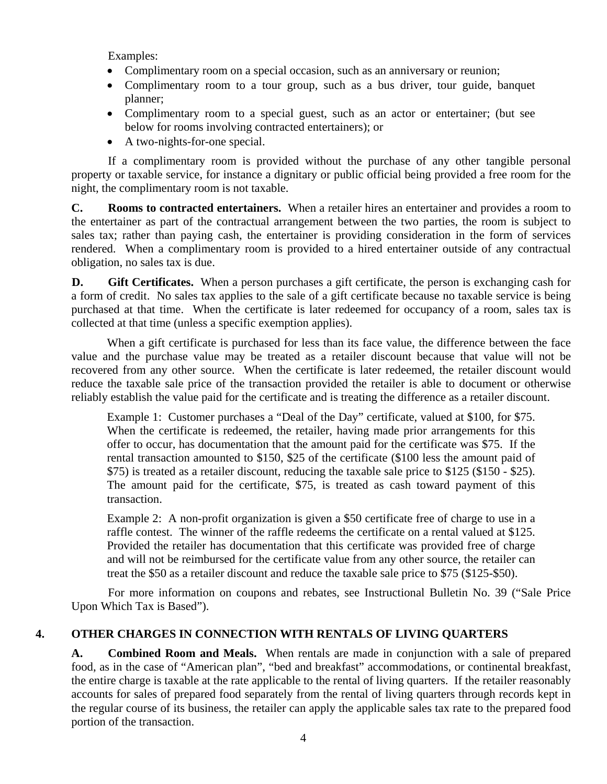Examples:

- Complimentary room on a special occasion, such as an anniversary or reunion;
- Complimentary room to a tour group, such as a bus driver, tour guide, banquet planner;
- Complimentary room to a special guest, such as an actor or entertainer; (but see below for rooms involving contracted entertainers); or
- A two-nights-for-one special.

 If a complimentary room is provided without the purchase of any other tangible personal property or taxable service, for instance a dignitary or public official being provided a free room for the night, the complimentary room is not taxable.

**C. Rooms to contracted entertainers.** When a retailer hires an entertainer and provides a room to the entertainer as part of the contractual arrangement between the two parties, the room is subject to sales tax; rather than paying cash, the entertainer is providing consideration in the form of services rendered. When a complimentary room is provided to a hired entertainer outside of any contractual obligation, no sales tax is due.

**D.** Gift Certificates. When a person purchases a gift certificate, the person is exchanging cash for a form of credit. No sales tax applies to the sale of a gift certificate because no taxable service is being purchased at that time. When the certificate is later redeemed for occupancy of a room, sales tax is collected at that time (unless a specific exemption applies).

 When a gift certificate is purchased for less than its face value, the difference between the face value and the purchase value may be treated as a retailer discount because that value will not be recovered from any other source. When the certificate is later redeemed, the retailer discount would reduce the taxable sale price of the transaction provided the retailer is able to document or otherwise reliably establish the value paid for the certificate and is treating the difference as a retailer discount.

Example 1: Customer purchases a "Deal of the Day" certificate, valued at \$100, for \$75. When the certificate is redeemed, the retailer, having made prior arrangements for this offer to occur, has documentation that the amount paid for the certificate was \$75. If the rental transaction amounted to \$150, \$25 of the certificate (\$100 less the amount paid of \$75) is treated as a retailer discount, reducing the taxable sale price to \$125 (\$150 - \$25). The amount paid for the certificate, \$75, is treated as cash toward payment of this transaction.

Example 2: A non-profit organization is given a \$50 certificate free of charge to use in a raffle contest. The winner of the raffle redeems the certificate on a rental valued at \$125. Provided the retailer has documentation that this certificate was provided free of charge and will not be reimbursed for the certificate value from any other source, the retailer can treat the \$50 as a retailer discount and reduce the taxable sale price to \$75 (\$125-\$50).

 For more information on coupons and rebates, see Instructional Bulletin No. 39 ("Sale Price Upon Which Tax is Based").

#### **4. OTHER CHARGES IN CONNECTION WITH RENTALS OF LIVING QUARTERS**

**A. Combined Room and Meals.** When rentals are made in conjunction with a sale of prepared food, as in the case of "American plan", "bed and breakfast" accommodations, or continental breakfast, the entire charge is taxable at the rate applicable to the rental of living quarters. If the retailer reasonably accounts for sales of prepared food separately from the rental of living quarters through records kept in the regular course of its business, the retailer can apply the applicable sales tax rate to the prepared food portion of the transaction.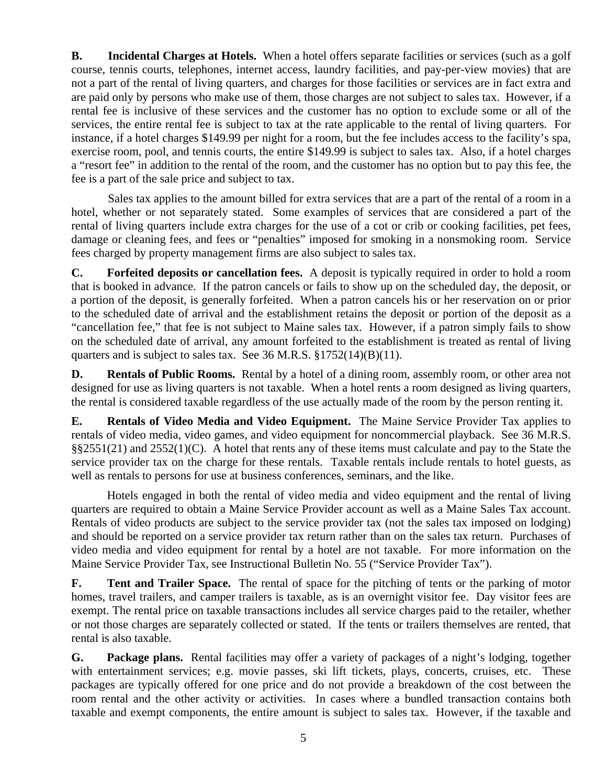**B.** Incidental Charges at Hotels. When a hotel offers separate facilities or services (such as a golf course, tennis courts, telephones, internet access, laundry facilities, and pay-per-view movies) that are not a part of the rental of living quarters, and charges for those facilities or services are in fact extra and are paid only by persons who make use of them, those charges are not subject to sales tax. However, if a rental fee is inclusive of these services and the customer has no option to exclude some or all of the services, the entire rental fee is subject to tax at the rate applicable to the rental of living quarters. For instance, if a hotel charges \$149.99 per night for a room, but the fee includes access to the facility's spa, exercise room, pool, and tennis courts, the entire \$149.99 is subject to sales tax. Also, if a hotel charges a "resort fee" in addition to the rental of the room, and the customer has no option but to pay this fee, the fee is a part of the sale price and subject to tax.

 Sales tax applies to the amount billed for extra services that are a part of the rental of a room in a hotel, whether or not separately stated. Some examples of services that are considered a part of the rental of living quarters include extra charges for the use of a cot or crib or cooking facilities, pet fees, damage or cleaning fees, and fees or "penalties" imposed for smoking in a nonsmoking room. Service fees charged by property management firms are also subject to sales tax.

**C. Forfeited deposits or cancellation fees.** A deposit is typically required in order to hold a room that is booked in advance. If the patron cancels or fails to show up on the scheduled day, the deposit, or a portion of the deposit, is generally forfeited. When a patron cancels his or her reservation on or prior to the scheduled date of arrival and the establishment retains the deposit or portion of the deposit as a "cancellation fee," that fee is not subject to Maine sales tax. However, if a patron simply fails to show on the scheduled date of arrival, any amount forfeited to the establishment is treated as rental of living quarters and is subject to sales tax. See 36 M.R.S. §1752(14)(B)(11).

**D.** Rentals of Public Rooms. Rental by a hotel of a dining room, assembly room, or other area not designed for use as living quarters is not taxable. When a hotel rents a room designed as living quarters, the rental is considered taxable regardless of the use actually made of the room by the person renting it.

**E. Rentals of Video Media and Video Equipment.** The Maine Service Provider Tax applies to rentals of video media, video games, and video equipment for noncommercial playback. See 36 M.R.S. §§2551(21) and 2552(1)(C). A hotel that rents any of these items must calculate and pay to the State the service provider tax on the charge for these rentals. Taxable rentals include rentals to hotel guests, as well as rentals to persons for use at business conferences, seminars, and the like.

 Hotels engaged in both the rental of video media and video equipment and the rental of living quarters are required to obtain a Maine Service Provider account as well as a Maine Sales Tax account. Rentals of video products are subject to the service provider tax (not the sales tax imposed on lodging) and should be reported on a service provider tax return rather than on the sales tax return. Purchases of video media and video equipment for rental by a hotel are not taxable. For more information on the Maine Service Provider Tax, see Instructional Bulletin No. 55 ("Service Provider Tax").

**F. Tent and Trailer Space.** The rental of space for the pitching of tents or the parking of motor homes, travel trailers, and camper trailers is taxable, as is an overnight visitor fee. Day visitor fees are exempt. The rental price on taxable transactions includes all service charges paid to the retailer, whether or not those charges are separately collected or stated. If the tents or trailers themselves are rented, that rental is also taxable.

**G. Package plans.** Rental facilities may offer a variety of packages of a night's lodging, together with entertainment services; e.g. movie passes, ski lift tickets, plays, concerts, cruises, etc. These packages are typically offered for one price and do not provide a breakdown of the cost between the room rental and the other activity or activities. In cases where a bundled transaction contains both taxable and exempt components, the entire amount is subject to sales tax. However, if the taxable and